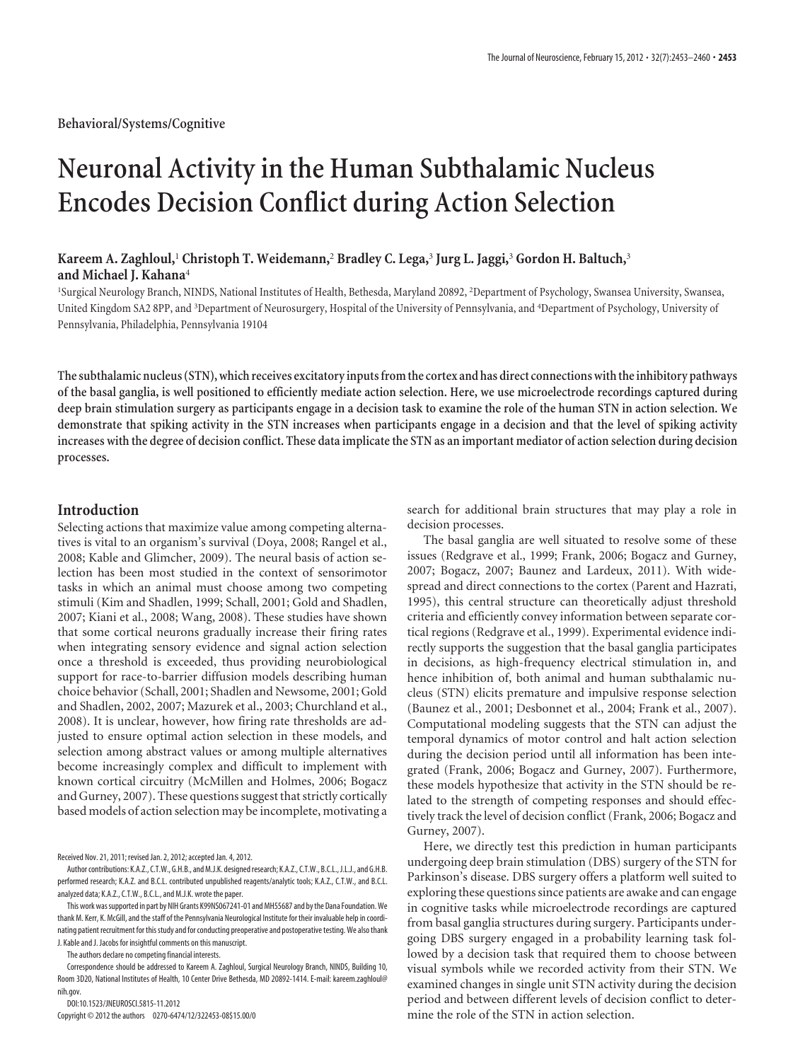# **Neuronal Activity in the Human Subthalamic Nucleus Encodes Decision Conflict during Action Selection**

# **Kareem A. Zaghloul,**<sup>1</sup> **Christoph T. Weidemann,**<sup>2</sup> **Bradley C. Lega,**<sup>3</sup> **Jurg L. Jaggi,**<sup>3</sup> **Gordon H. Baltuch,**<sup>3</sup> **and Michael J. Kahana**<sup>4</sup>

1 Surgical Neurology Branch, NINDS, National Institutes of Health, Bethesda, Maryland 20892, <sup>2</sup> Department of Psychology, Swansea University, Swansea, United Kingdom SA2 8PP, and <sup>3</sup>Department of Neurosurgery, Hospital of the University of Pennsylvania, and <sup>4</sup>Department of Psychology, University of Pennsylvania, Philadelphia, Pennsylvania 19104

**The subthalamic nucleus (STN), which receives excitatory inputsfromthe cortex and has direct connections withthe inhibitory pathways of the basal ganglia, is well positioned to efficiently mediate action selection. Here, we use microelectrode recordings captured during deep brain stimulation surgery as participants engage in a decision task to examine the role of the human STN in action selection. We demonstrate that spiking activity in the STN increases when participants engage in a decision and that the level of spiking activity increases with the degree of decision conflict. These data implicate the STN as an important mediator of action selection during decision processes.**

## **Introduction**

Selecting actions that maximize value among competing alternatives is vital to an organism's survival (Doya, 2008; Rangel et al., 2008; Kable and Glimcher, 2009). The neural basis of action selection has been most studied in the context of sensorimotor tasks in which an animal must choose among two competing stimuli (Kim and Shadlen, 1999; Schall, 2001; Gold and Shadlen, 2007; Kiani et al., 2008; Wang, 2008). These studies have shown that some cortical neurons gradually increase their firing rates when integrating sensory evidence and signal action selection once a threshold is exceeded, thus providing neurobiological support for race-to-barrier diffusion models describing human choice behavior (Schall, 2001; Shadlen and Newsome, 2001; Gold and Shadlen, 2002, 2007; Mazurek et al., 2003; Churchland et al., 2008). It is unclear, however, how firing rate thresholds are adjusted to ensure optimal action selection in these models, and selection among abstract values or among multiple alternatives become increasingly complex and difficult to implement with known cortical circuitry (McMillen and Holmes, 2006; Bogacz and Gurney, 2007). These questions suggest that strictly cortically based models of action selection may be incomplete, motivating a

Received Nov. 21, 2011; revised Jan. 2, 2012; accepted Jan. 4, 2012.

The authors declare no competing financial interests.

Correspondence should be addressed to Kareem A. Zaghloul, Surgical Neurology Branch, NINDS, Building 10, Room 3D20, National Institutes of Health, 10 Center Drive Bethesda, MD 20892-1414. E-mail: kareem.zaghloul@ nih.gov.

DOI:10.1523/JNEUROSCI.5815-11.2012 Copyright © 2012 the authors 0270-6474/12/322453-08\$15.00/0 search for additional brain structures that may play a role in decision processes.

The basal ganglia are well situated to resolve some of these issues (Redgrave et al., 1999; Frank, 2006; Bogacz and Gurney, 2007; Bogacz, 2007; Baunez and Lardeux, 2011). With widespread and direct connections to the cortex (Parent and Hazrati, 1995), this central structure can theoretically adjust threshold criteria and efficiently convey information between separate cortical regions (Redgrave et al., 1999). Experimental evidence indirectly supports the suggestion that the basal ganglia participates in decisions, as high-frequency electrical stimulation in, and hence inhibition of, both animal and human subthalamic nucleus (STN) elicits premature and impulsive response selection (Baunez et al., 2001; Desbonnet et al., 2004; Frank et al., 2007). Computational modeling suggests that the STN can adjust the temporal dynamics of motor control and halt action selection during the decision period until all information has been integrated (Frank, 2006; Bogacz and Gurney, 2007). Furthermore, these models hypothesize that activity in the STN should be related to the strength of competing responses and should effectively track the level of decision conflict (Frank, 2006; Bogacz and Gurney, 2007).

Here, we directly test this prediction in human participants undergoing deep brain stimulation (DBS) surgery of the STN for Parkinson's disease. DBS surgery offers a platform well suited to exploring these questions since patients are awake and can engage in cognitive tasks while microelectrode recordings are captured from basal ganglia structures during surgery. Participants undergoing DBS surgery engaged in a probability learning task followed by a decision task that required them to choose between visual symbols while we recorded activity from their STN. We examined changes in single unit STN activity during the decision period and between different levels of decision conflict to determine the role of the STN in action selection.

Author contributions: K.A.Z., C.T.W., G.H.B., and M.J.K. designed research; K.A.Z., C.T.W., B.C.L.,J.L.J., and G.H.B. performed research; K.A.Z. and B.C.L. contributed unpublished reagents/analytic tools; K.A.Z., C.T.W., and B.C.L. analyzed data; K.A.Z., C.T.W., B.C.L., and M.J.K. wrote the paper.

This work wassupported in part by NIH Grants K99NS067241-01 and MH55687 and bythe Dana Foundation.We thank M. Kerr, K. McGill, and the staff of the Pennsylvania Neurological Institute for their invaluable help in coordinating patient recruitment for this study and for conducting preoperative and postoperative testing. We also thank J. Kable and J. Jacobs for insightful comments on this manuscript.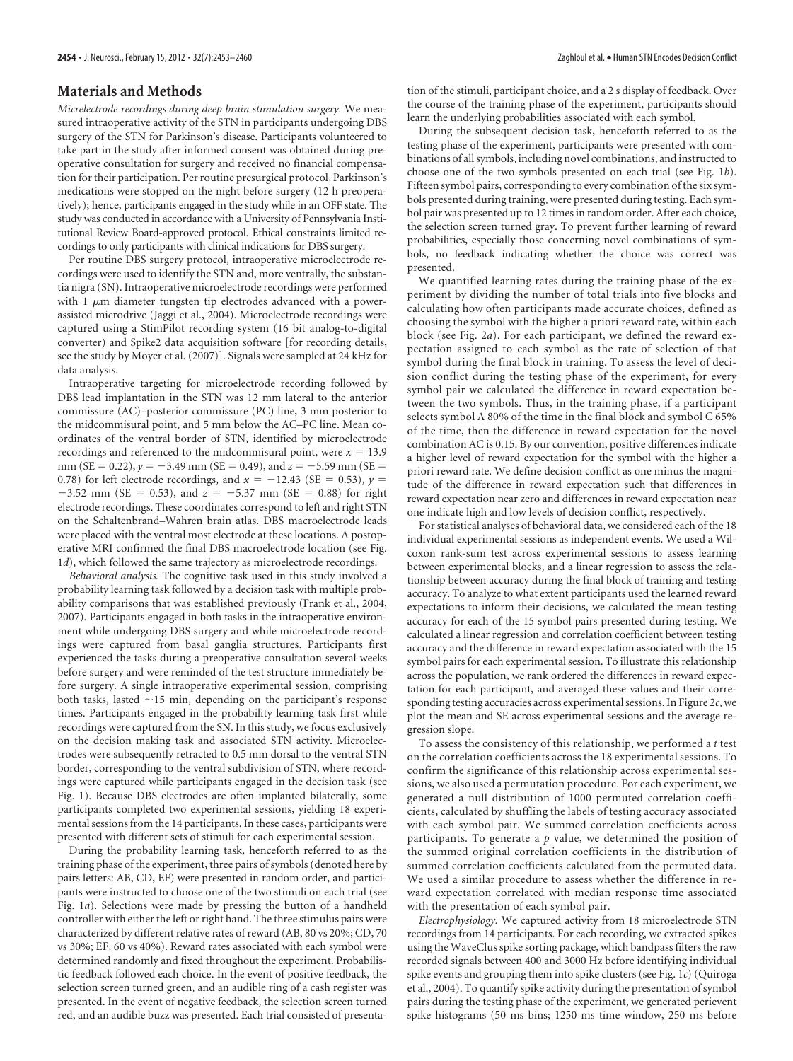#### **Materials and Methods**

*Micrelectrode recordings during deep brain stimulation surgery.* We measured intraoperative activity of the STN in participants undergoing DBS surgery of the STN for Parkinson's disease. Participants volunteered to take part in the study after informed consent was obtained during preoperative consultation for surgery and received no financial compensation for their participation. Per routine presurgical protocol, Parkinson's medications were stopped on the night before surgery (12 h preoperatively); hence, participants engaged in the study while in an OFF state. The study was conducted in accordance with a University of Pennsylvania Institutional Review Board-approved protocol. Ethical constraints limited recordings to only participants with clinical indications for DBS surgery.

Per routine DBS surgery protocol, intraoperative microelectrode recordings were used to identify the STN and, more ventrally, the substantia nigra (SN). Intraoperative microelectrode recordings were performed with 1  $\mu$ m diameter tungsten tip electrodes advanced with a powerassisted microdrive (Jaggi et al., 2004). Microelectrode recordings were captured using a StimPilot recording system (16 bit analog-to-digital converter) and Spike2 data acquisition software [for recording details, see the study by Moyer et al. (2007)]. Signals were sampled at 24 kHz for data analysis.

Intraoperative targeting for microelectrode recording followed by DBS lead implantation in the STN was 12 mm lateral to the anterior commissure (AC)–posterior commissure (PC) line, 3 mm posterior to the midcommisural point, and 5 mm below the AC–PC line. Mean coordinates of the ventral border of STN, identified by microelectrode recordings and referenced to the midcommisural point, were  $x = 13.9$ mm (SE = 0.22),  $y = -3.49$  mm (SE = 0.49), and  $z = -5.59$  mm (SE = 0.78) for left electrode recordings, and  $x = -12.43$  (SE = 0.53),  $y =$  $-3.52$  mm (SE = 0.53), and  $z = -5.37$  mm (SE = 0.88) for right electrode recordings. These coordinates correspond to left and right STN on the Schaltenbrand–Wahren brain atlas. DBS macroelectrode leads were placed with the ventral most electrode at these locations. A postoperative MRI confirmed the final DBS macroelectrode location (see Fig. 1*d*), which followed the same trajectory as microelectrode recordings.

*Behavioral analysis.* The cognitive task used in this study involved a probability learning task followed by a decision task with multiple probability comparisons that was established previously (Frank et al., 2004, 2007). Participants engaged in both tasks in the intraoperative environment while undergoing DBS surgery and while microelectrode recordings were captured from basal ganglia structures. Participants first experienced the tasks during a preoperative consultation several weeks before surgery and were reminded of the test structure immediately before surgery. A single intraoperative experimental session, comprising both tasks, lasted  $\sim$  15 min, depending on the participant's response times. Participants engaged in the probability learning task first while recordings were captured from the SN. In this study, we focus exclusively on the decision making task and associated STN activity. Microelectrodes were subsequently retracted to 0.5 mm dorsal to the ventral STN border, corresponding to the ventral subdivision of STN, where recordings were captured while participants engaged in the decision task (see Fig. 1). Because DBS electrodes are often implanted bilaterally, some participants completed two experimental sessions, yielding 18 experimental sessions from the 14 participants. In these cases, participants were presented with different sets of stimuli for each experimental session.

During the probability learning task, henceforth referred to as the training phase of the experiment, three pairs of symbols (denoted here by pairs letters: AB, CD, EF) were presented in random order, and participants were instructed to choose one of the two stimuli on each trial (see Fig. 1*a*). Selections were made by pressing the button of a handheld controller with either the left or right hand. The three stimulus pairs were characterized by different relative rates of reward (AB, 80 vs 20%; CD, 70 vs 30%; EF, 60 vs 40%). Reward rates associated with each symbol were determined randomly and fixed throughout the experiment. Probabilistic feedback followed each choice. In the event of positive feedback, the selection screen turned green, and an audible ring of a cash register was presented. In the event of negative feedback, the selection screen turned red, and an audible buzz was presented. Each trial consisted of presentation of the stimuli, participant choice, and a 2 s display of feedback. Over the course of the training phase of the experiment, participants should learn the underlying probabilities associated with each symbol.

During the subsequent decision task, henceforth referred to as the testing phase of the experiment, participants were presented with combinations of all symbols, including novel combinations, and instructed to choose one of the two symbols presented on each trial (see Fig. 1*b*). Fifteen symbol pairs, corresponding to every combination of the six symbols presented during training, were presented during testing. Each symbol pair was presented up to 12 times in random order. After each choice, the selection screen turned gray. To prevent further learning of reward probabilities, especially those concerning novel combinations of symbols, no feedback indicating whether the choice was correct was presented.

We quantified learning rates during the training phase of the experiment by dividing the number of total trials into five blocks and calculating how often participants made accurate choices, defined as choosing the symbol with the higher a priori reward rate, within each block (see Fig. 2*a*). For each participant, we defined the reward expectation assigned to each symbol as the rate of selection of that symbol during the final block in training. To assess the level of decision conflict during the testing phase of the experiment, for every symbol pair we calculated the difference in reward expectation between the two symbols. Thus, in the training phase, if a participant selects symbol A 80% of the time in the final block and symbol C 65% of the time, then the difference in reward expectation for the novel combination AC is 0.15. By our convention, positive differences indicate a higher level of reward expectation for the symbol with the higher a priori reward rate. We define decision conflict as one minus the magnitude of the difference in reward expectation such that differences in reward expectation near zero and differences in reward expectation near one indicate high and low levels of decision conflict, respectively.

For statistical analyses of behavioral data, we considered each of the 18 individual experimental sessions as independent events. We used a Wilcoxon rank-sum test across experimental sessions to assess learning between experimental blocks, and a linear regression to assess the relationship between accuracy during the final block of training and testing accuracy. To analyze to what extent participants used the learned reward expectations to inform their decisions, we calculated the mean testing accuracy for each of the 15 symbol pairs presented during testing. We calculated a linear regression and correlation coefficient between testing accuracy and the difference in reward expectation associated with the 15 symbol pairs for each experimental session. To illustrate this relationship across the population, we rank ordered the differences in reward expectation for each participant, and averaged these values and their corresponding testing accuracies across experimental sessions. In Figure 2*c*, we plot the mean and SE across experimental sessions and the average regression slope.

To assess the consistency of this relationship, we performed a *t* test on the correlation coefficients across the 18 experimental sessions. To confirm the significance of this relationship across experimental sessions, we also used a permutation procedure. For each experiment, we generated a null distribution of 1000 permuted correlation coefficients, calculated by shuffling the labels of testing accuracy associated with each symbol pair. We summed correlation coefficients across participants. To generate a *p* value, we determined the position of the summed original correlation coefficients in the distribution of summed correlation coefficients calculated from the permuted data. We used a similar procedure to assess whether the difference in reward expectation correlated with median response time associated with the presentation of each symbol pair.

*Electrophysiology.* We captured activity from 18 microelectrode STN recordings from 14 participants. For each recording, we extracted spikes using the WaveClus spike sorting package, which bandpass filters the raw recorded signals between 400 and 3000 Hz before identifying individual spike events and grouping them into spike clusters (see Fig. 1*c*) (Quiroga et al., 2004). To quantify spike activity during the presentation of symbol pairs during the testing phase of the experiment, we generated perievent spike histograms (50 ms bins; 1250 ms time window, 250 ms before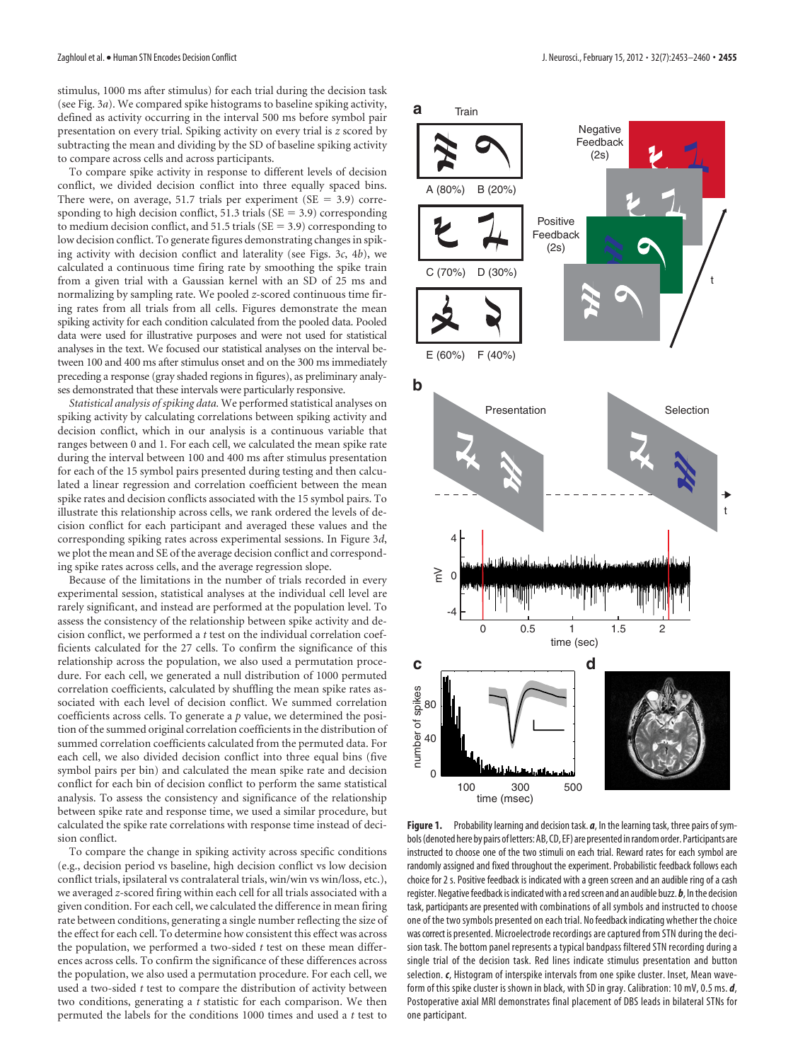stimulus, 1000 ms after stimulus) for each trial during the decision task (see Fig. 3*a*). We compared spike histograms to baseline spiking activity, defined as activity occurring in the interval 500 ms before symbol pair presentation on every trial. Spiking activity on every trial is *z* scored by subtracting the mean and dividing by the SD of baseline spiking activity to compare across cells and across participants.

To compare spike activity in response to different levels of decision conflict, we divided decision conflict into three equally spaced bins. There were, on average, 51.7 trials per experiment ( $SE = 3.9$ ) corresponding to high decision conflict, 51.3 trials ( $SE = 3.9$ ) corresponding to medium decision conflict, and 51.5 trials ( $SE = 3.9$ ) corresponding to low decision conflict. To generate figures demonstrating changes in spiking activity with decision conflict and laterality (see Figs. 3*c*, 4*b*), we calculated a continuous time firing rate by smoothing the spike train from a given trial with a Gaussian kernel with an SD of 25 ms and normalizing by sampling rate. We pooled *z*-scored continuous time firing rates from all trials from all cells. Figures demonstrate the mean spiking activity for each condition calculated from the pooled data. Pooled data were used for illustrative purposes and were not used for statistical analyses in the text. We focused our statistical analyses on the interval between 100 and 400 ms after stimulus onset and on the 300 ms immediately preceding a response (gray shaded regions in figures), as preliminary analyses demonstrated that these intervals were particularly responsive.

*Statistical analysis of spiking data.* We performed statistical analyses on spiking activity by calculating correlations between spiking activity and decision conflict, which in our analysis is a continuous variable that ranges between 0 and 1. For each cell, we calculated the mean spike rate during the interval between 100 and 400 ms after stimulus presentation for each of the 15 symbol pairs presented during testing and then calculated a linear regression and correlation coefficient between the mean spike rates and decision conflicts associated with the 15 symbol pairs. To illustrate this relationship across cells, we rank ordered the levels of decision conflict for each participant and averaged these values and the corresponding spiking rates across experimental sessions. In Figure 3*d*, we plot the mean and SE of the average decision conflict and corresponding spike rates across cells, and the average regression slope.

Because of the limitations in the number of trials recorded in every experimental session, statistical analyses at the individual cell level are rarely significant, and instead are performed at the population level. To assess the consistency of the relationship between spike activity and decision conflict, we performed a *t* test on the individual correlation coefficients calculated for the 27 cells. To confirm the significance of this relationship across the population, we also used a permutation procedure. For each cell, we generated a null distribution of 1000 permuted correlation coefficients, calculated by shuffling the mean spike rates associated with each level of decision conflict. We summed correlation coefficients across cells. To generate a *p* value, we determined the position of the summed original correlation coefficients in the distribution of summed correlation coefficients calculated from the permuted data. For each cell, we also divided decision conflict into three equal bins (five symbol pairs per bin) and calculated the mean spike rate and decision conflict for each bin of decision conflict to perform the same statistical analysis. To assess the consistency and significance of the relationship between spike rate and response time, we used a similar procedure, but calculated the spike rate correlations with response time instead of decision conflict.

To compare the change in spiking activity across specific conditions (e.g., decision period vs baseline, high decision conflict vs low decision conflict trials, ipsilateral vs contralateral trials, win/win vs win/loss, etc.), we averaged *z*-scored firing within each cell for all trials associated with a given condition. For each cell, we calculated the difference in mean firing rate between conditions, generating a single number reflecting the size of the effect for each cell. To determine how consistent this effect was across the population, we performed a two-sided *t* test on these mean differences across cells. To confirm the significance of these differences across the population, we also used a permutation procedure. For each cell, we used a two-sided *t* test to compare the distribution of activity between two conditions, generating a *t* statistic for each comparison. We then permuted the labels for the conditions 1000 times and used a *t* test to



Figure 1. Probability learning and decision task. *a*, In the learning task, three pairs of symbols (denoted here by pairs of letters: AB, CD, EF) are presented in random order. Participants are instructed to choose one of the two stimuli on each trial. Reward rates for each symbol are randomly assigned and fixed throughout the experiment. Probabilistic feedback follows each choice for 2 s. Positive feedback is indicated with a green screen and an audible ring of a cash register. Negative feedback is indicated with a red screen and an audible buzz. **b**, In the decision task, participants are presented with combinations of all symbols and instructed to choose one of the two symbols presented on each trial. Nofeedback indicating whether the choice was correct is presented. Microelectrode recordings are captured from STN during the decision task. The bottom panel represents a typical bandpass filtered STN recording during a single trial of the decision task. Red lines indicate stimulus presentation and button selection. *c*, Histogram of interspike intervals from one spike cluster. Inset, Mean waveform of this spike cluster is shown in black, with SD in gray. Calibration: 10 mV, 0.5 ms. *d*, Postoperative axial MRI demonstrates final placement of DBS leads in bilateral STNs for one participant.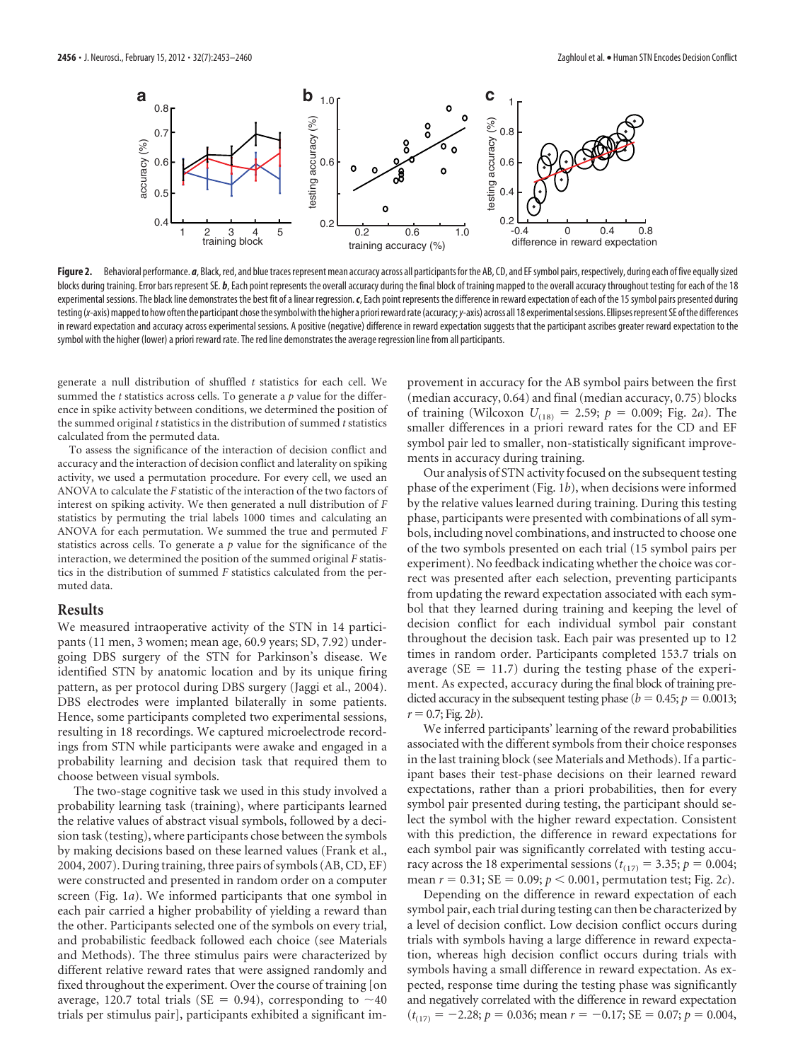

Figure 2. Behavioral performance. *a*, Black, red, and blue traces represent mean accuracy across all participants for the AB, CD, and EF symbol pairs, respectively, during each of five equally sized blocks during training. Error bars represent SE. b, Each point represents the overall accuracy during the final block of training mapped to the overall accuracy throughout testing for each of the 18 experimental sessions. The black line demonstrates the best fit of a linear regression. c, Each point represents the difference in reward expectation of each of the 15 symbol pairs presented during testing(*x*-axis)mappedto how oftenthe participant chosethesymbolwiththe higher a priorirewardrate(accuracy;*y*-axis) across all 18 experimentalsessions. Ellipsesrepresent SE ofthe differences in reward expectation and accuracy across experimental sessions. A positive (negative) difference in reward expectation suggests that the participant ascribes greater reward expectation to the symbol with the higher (lower) a priori reward rate. The red line demonstrates the average regression line from all participants.

generate a null distribution of shuffled *t* statistics for each cell. We summed the *t* statistics across cells. To generate a *p* value for the difference in spike activity between conditions, we determined the position of the summed original *t* statistics in the distribution of summed *t* statistics calculated from the permuted data.

To assess the significance of the interaction of decision conflict and accuracy and the interaction of decision conflict and laterality on spiking activity, we used a permutation procedure. For every cell, we used an ANOVA to calculate the *F* statistic of the interaction of the two factors of interest on spiking activity. We then generated a null distribution of *F* statistics by permuting the trial labels 1000 times and calculating an ANOVA for each permutation. We summed the true and permuted *F* statistics across cells. To generate a  $p$  value for the significance of the interaction, we determined the position of the summed original *F* statistics in the distribution of summed *F* statistics calculated from the permuted data.

### **Results**

We measured intraoperative activity of the STN in 14 participants (11 men, 3 women; mean age, 60.9 years; SD, 7.92) undergoing DBS surgery of the STN for Parkinson's disease. We identified STN by anatomic location and by its unique firing pattern, as per protocol during DBS surgery (Jaggi et al., 2004). DBS electrodes were implanted bilaterally in some patients. Hence, some participants completed two experimental sessions, resulting in 18 recordings. We captured microelectrode recordings from STN while participants were awake and engaged in a probability learning and decision task that required them to choose between visual symbols.

The two-stage cognitive task we used in this study involved a probability learning task (training), where participants learned the relative values of abstract visual symbols, followed by a decision task (testing), where participants chose between the symbols by making decisions based on these learned values (Frank et al., 2004, 2007). During training, three pairs of symbols (AB, CD, EF) were constructed and presented in random order on a computer screen (Fig. 1*a*). We informed participants that one symbol in each pair carried a higher probability of yielding a reward than the other. Participants selected one of the symbols on every trial, and probabilistic feedback followed each choice (see Materials and Methods). The three stimulus pairs were characterized by different relative reward rates that were assigned randomly and fixed throughout the experiment. Over the course of training [on average, 120.7 total trials (SE = 0.94), corresponding to  $\sim$ 40 trials per stimulus pair], participants exhibited a significant improvement in accuracy for the AB symbol pairs between the first (median accuracy, 0.64) and final (median accuracy, 0.75) blocks of training (Wilcoxon  $U_{(18)} = 2.59$ ;  $p = 0.009$ ; Fig. 2*a*). The smaller differences in a priori reward rates for the CD and EF symbol pair led to smaller, non-statistically significant improvements in accuracy during training.

Our analysis of STN activity focused on the subsequent testing phase of the experiment (Fig. 1*b*), when decisions were informed by the relative values learned during training. During this testing phase, participants were presented with combinations of all symbols, including novel combinations, and instructed to choose one of the two symbols presented on each trial (15 symbol pairs per experiment). No feedback indicating whether the choice was correct was presented after each selection, preventing participants from updating the reward expectation associated with each symbol that they learned during training and keeping the level of decision conflict for each individual symbol pair constant throughout the decision task. Each pair was presented up to 12 times in random order. Participants completed 153.7 trials on average ( $SE = 11.7$ ) during the testing phase of the experiment. As expected, accuracy during the final block of training predicted accuracy in the subsequent testing phase ( $b = 0.45$ ;  $p = 0.0013$ ;  $r = 0.7$ ; Fig. 2*b*).

We inferred participants' learning of the reward probabilities associated with the different symbols from their choice responses in the last training block (see Materials and Methods). If a participant bases their test-phase decisions on their learned reward expectations, rather than a priori probabilities, then for every symbol pair presented during testing, the participant should select the symbol with the higher reward expectation. Consistent with this prediction, the difference in reward expectations for each symbol pair was significantly correlated with testing accuracy across the 18 experimental sessions ( $t_{(17)} = 3.35$ ;  $p = 0.004$ ; mean  $r = 0.31$ ; SE = 0.09;  $p < 0.001$ , permutation test; Fig. 2*c*).

Depending on the difference in reward expectation of each symbol pair, each trial during testing can then be characterized by a level of decision conflict. Low decision conflict occurs during trials with symbols having a large difference in reward expectation, whereas high decision conflict occurs during trials with symbols having a small difference in reward expectation. As expected, response time during the testing phase was significantly and negatively correlated with the difference in reward expectation  $(t_{(17)} = -2.28; p = 0.036; \text{ mean } r = -0.17; \text{ SE} = 0.07; p = 0.004,$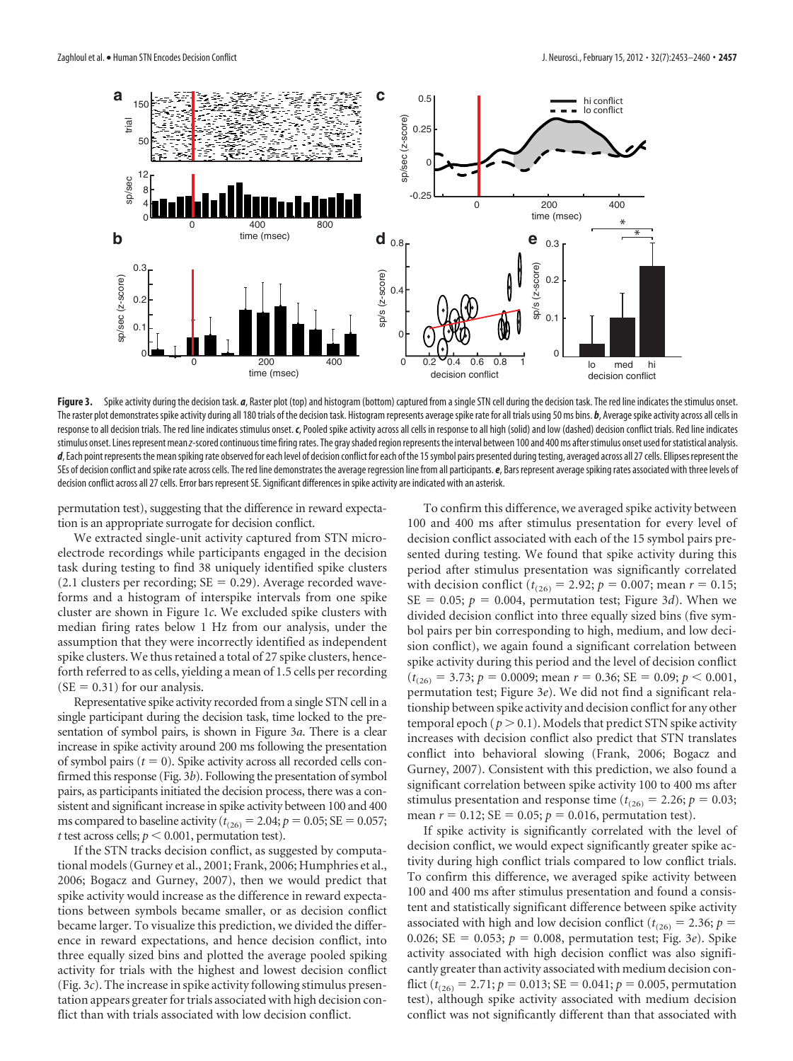

Figure 3. Spike activity during the decision task. *a*, Raster plot (top) and histogram (bottom) captured from a single STN cell during the decision task. The red line indicates the stimulus onset. The raster plot demonstrates spike activity during all 180 trials of the decision task. Histogram represents average spike rate for all trials using 50 ms bins. *b*, Average spike activity across all cells in response to all decision trials. The red line indicates stimulus onset. *c*, Pooled spike activity across all cells in response to all high (solid) and low (dashed) decision conflict trials. Red line indicates stimulus onset. Lines represent mean *z*-scored continuoustime firing rates. The grayshaded region representsthe interval between 100 and 400 ms afterstimulus onset used forstatisticalanalysis. d, Each point represents the mean spiking rate observed for each level of decision conflict for each of the 15 symbol pairs presented during testing, averaged across all 27 cells. Ellipses represent the SEs of decision conflict and spike rate across cells. The red line demonstrates the average regression line from all participants.*e*, Bars represent average spiking rates associated with three levels of decision conflict across all 27 cells. Error bars represent SE. Significant differences in spike activity are indicated with an asterisk.

permutation test), suggesting that the difference in reward expectation is an appropriate surrogate for decision conflict.

We extracted single-unit activity captured from STN microelectrode recordings while participants engaged in the decision task during testing to find 38 uniquely identified spike clusters (2.1 clusters per recording;  $SE = 0.29$ ). Average recorded waveforms and a histogram of interspike intervals from one spike cluster are shown in Figure 1*c*. We excluded spike clusters with median firing rates below 1 Hz from our analysis, under the assumption that they were incorrectly identified as independent spike clusters. We thus retained a total of 27 spike clusters, henceforth referred to as cells, yielding a mean of 1.5 cells per recording  $(SE = 0.31)$  for our analysis.

Representative spike activity recorded from a single STN cell in a single participant during the decision task, time locked to the presentation of symbol pairs, is shown in Figure 3*a*. There is a clear increase in spike activity around 200 ms following the presentation of symbol pairs  $(t = 0)$ . Spike activity across all recorded cells confirmed this response (Fig. 3*b*). Following the presentation of symbol pairs, as participants initiated the decision process, there was a consistent and significant increase in spike activity between 100 and 400 ms compared to baseline activity ( $t_{(26)} = 2.04$ ;  $p = 0.05$ ; SE = 0.057; *t* test across cells;  $p < 0.001$ , permutation test).

If the STN tracks decision conflict, as suggested by computational models (Gurney et al., 2001; Frank, 2006; Humphries et al., 2006; Bogacz and Gurney, 2007), then we would predict that spike activity would increase as the difference in reward expectations between symbols became smaller, or as decision conflict became larger. To visualize this prediction, we divided the difference in reward expectations, and hence decision conflict, into three equally sized bins and plotted the average pooled spiking activity for trials with the highest and lowest decision conflict (Fig. 3*c*). The increase in spike activity following stimulus presentation appears greater for trials associated with high decision conflict than with trials associated with low decision conflict.

To confirm this difference, we averaged spike activity between 100 and 400 ms after stimulus presentation for every level of decision conflict associated with each of the 15 symbol pairs presented during testing. We found that spike activity during this period after stimulus presentation was significantly correlated with decision conflict ( $t_{(26)} = 2.92$ ;  $p = 0.007$ ; mean  $r = 0.15$ ;  $SE = 0.05$ ;  $p = 0.004$ , permutation test; Figure 3*d*). When we divided decision conflict into three equally sized bins (five symbol pairs per bin corresponding to high, medium, and low decision conflict), we again found a significant correlation between spike activity during this period and the level of decision conflict  $(t<sub>(26)</sub> = 3.73; p = 0.0009; mean r = 0.36; SE = 0.09; p < 0.001,$ permutation test; Figure 3*e*). We did not find a significant relationship between spike activity and decision conflict for any other temporal epoch ( $p > 0.1$ ). Models that predict STN spike activity increases with decision conflict also predict that STN translates conflict into behavioral slowing (Frank, 2006; Bogacz and Gurney, 2007). Consistent with this prediction, we also found a significant correlation between spike activity 100 to 400 ms after stimulus presentation and response time ( $t_{(26)} = 2.26$ ;  $p = 0.03$ ; mean  $r = 0.12$ ; SE = 0.05;  $p = 0.016$ , permutation test).

If spike activity is significantly correlated with the level of decision conflict, we would expect significantly greater spike activity during high conflict trials compared to low conflict trials. To confirm this difference, we averaged spike activity between 100 and 400 ms after stimulus presentation and found a consistent and statistically significant difference between spike activity associated with high and low decision conflict ( $t_{(26)} = 2.36$ ;  $p =$ 0.026; SE = 0.053;  $p = 0.008$ , permutation test; Fig. 3e). Spike activity associated with high decision conflict was also significantly greater than activity associated with medium decision conflict ( $t_{(26)} = 2.71$ ;  $p = 0.013$ ; SE = 0.041;  $p = 0.005$ , permutation test), although spike activity associated with medium decision conflict was not significantly different than that associated with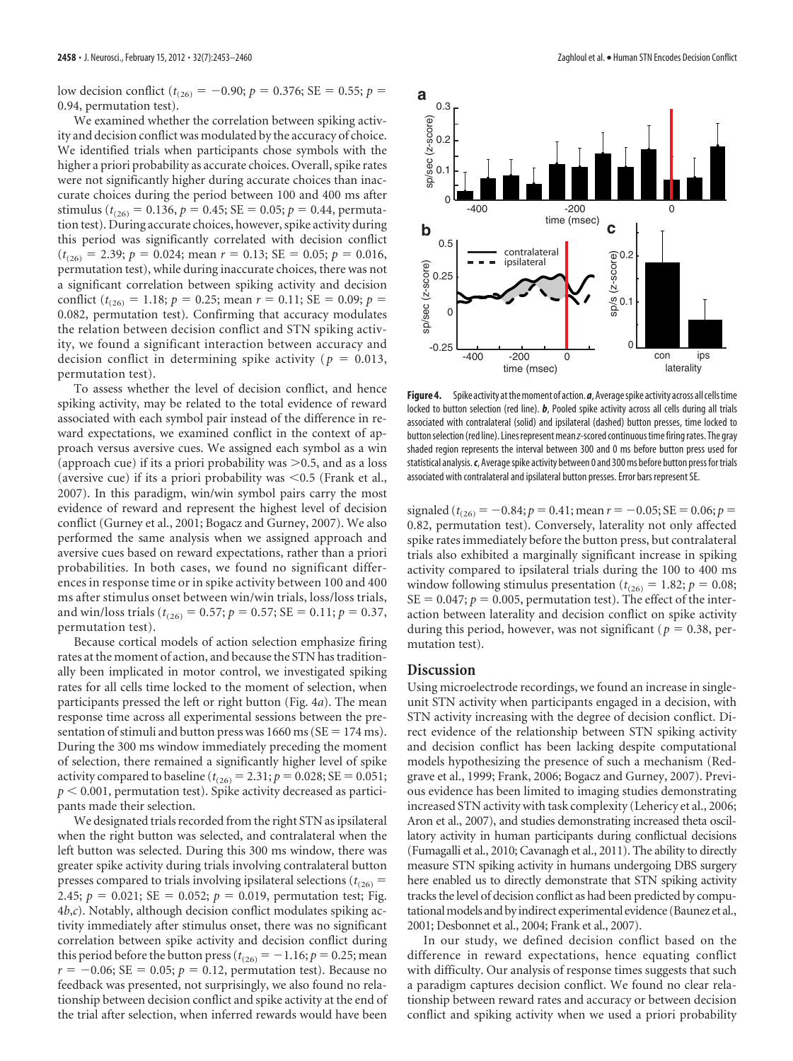low decision conflict ( $t_{(26)} = -0.90; p = 0.376; SE = 0.55; p = 0.55$ 0.94, permutation test).

We examined whether the correlation between spiking activity and decision conflict was modulated by the accuracy of choice. We identified trials when participants chose symbols with the higher a priori probability as accurate choices. Overall, spike rates were not significantly higher during accurate choices than inaccurate choices during the period between 100 and 400 ms after stimulus ( $t_{(26)} = 0.136$ ,  $p = 0.45$ ; SE = 0.05;  $p = 0.44$ , permutation test). During accurate choices, however, spike activity during this period was significantly correlated with decision conflict  $(t<sub>(26)</sub> = 2.39; p = 0.024; mean r = 0.13; SE = 0.05; p = 0.016,$ permutation test), while during inaccurate choices, there was not a significant correlation between spiking activity and decision conflict ( $t_{(26)} = 1.18$ ;  $p = 0.25$ ; mean  $r = 0.11$ ; SE = 0.09;  $p =$ 0.082, permutation test). Confirming that accuracy modulates the relation between decision conflict and STN spiking activity, we found a significant interaction between accuracy and decision conflict in determining spike activity ( $p = 0.013$ , permutation test).

To assess whether the level of decision conflict, and hence spiking activity, may be related to the total evidence of reward associated with each symbol pair instead of the difference in reward expectations, we examined conflict in the context of approach versus aversive cues. We assigned each symbol as a win (approach cue) if its a priori probability was  $> 0.5$ , and as a loss (aversive cue) if its a priori probability was  $<$  0.5 (Frank et al., 2007). In this paradigm, win/win symbol pairs carry the most evidence of reward and represent the highest level of decision conflict (Gurney et al., 2001; Bogacz and Gurney, 2007). We also performed the same analysis when we assigned approach and aversive cues based on reward expectations, rather than a priori probabilities. In both cases, we found no significant differences in response time or in spike activity between 100 and 400 ms after stimulus onset between win/win trials, loss/loss trials, and win/loss trials ( $t_{(26)} = 0.57$ ;  $p = 0.57$ ; SE = 0.11;  $p = 0.37$ , permutation test).

Because cortical models of action selection emphasize firing rates at the moment of action, and because the STN has traditionally been implicated in motor control, we investigated spiking rates for all cells time locked to the moment of selection, when participants pressed the left or right button (Fig. 4*a*). The mean response time across all experimental sessions between the presentation of stimuli and button press was  $1660 \text{ ms}$  (SE = 174 ms). During the 300 ms window immediately preceding the moment of selection, there remained a significantly higher level of spike activity compared to baseline ( $t_{(26)} = 2.31$ ;  $p = 0.028$ ; SE = 0.051;  $p < 0.001$ , permutation test). Spike activity decreased as participants made their selection.

We designated trials recorded from the right STN as ipsilateral when the right button was selected, and contralateral when the left button was selected. During this 300 ms window, there was greater spike activity during trials involving contralateral button presses compared to trials involving ipsilateral selections ( $t_{(26)}$  = 2.45;  $p = 0.021$ ; SE = 0.052;  $p = 0.019$ , permutation test; Fig. 4*b*,*c*). Notably, although decision conflict modulates spiking activity immediately after stimulus onset, there was no significant correlation between spike activity and decision conflict during this period before the button press ( $t_{(26)} = -1.16$ ;  $p = 0.25$ ; mean  $r = -0.06$ ; SE = 0.05;  $p = 0.12$ , permutation test). Because no feedback was presented, not surprisingly, we also found no relationship between decision conflict and spike activity at the end of the trial after selection, when inferred rewards would have been



Figure 4. Spike activity at the moment of action. *a*, Average spike activity across all cells time locked to button selection (red line). *b*, Pooled spike activity across all cells during all trials associated with contralateral (solid) and ipsilateral (dashed) button presses, time locked to button selection (red line). Lines represent mean *z*-scored continuous time firing rates. The gray shaded region represents the interval between 300 and 0 ms before button press used for statistical analysis. c, Average spike activity between 0 and 300 ms before button press for trials associated with contralateral and ipsilateral button presses. Error bars represent SE.

signaled ( $t_{(26)} = -0.84; p = 0.41;$  mean  $r = -0.05;$  SE = 0.06;  $p =$ 0.82, permutation test). Conversely, laterality not only affected spike rates immediately before the button press, but contralateral trials also exhibited a marginally significant increase in spiking activity compared to ipsilateral trials during the 100 to 400 ms window following stimulus presentation ( $t_{(26)} = 1.82$ ;  $p = 0.08$ ;  $SE = 0.047$ ;  $p = 0.005$ , permutation test). The effect of the interaction between laterality and decision conflict on spike activity during this period, however, was not significant ( $p = 0.38$ , permutation test).

#### **Discussion**

Using microelectrode recordings, we found an increase in singleunit STN activity when participants engaged in a decision, with STN activity increasing with the degree of decision conflict. Direct evidence of the relationship between STN spiking activity and decision conflict has been lacking despite computational models hypothesizing the presence of such a mechanism (Redgrave et al., 1999; Frank, 2006; Bogacz and Gurney, 2007). Previous evidence has been limited to imaging studies demonstrating increased STN activity with task complexity (Lehericy et al., 2006; Aron et al., 2007), and studies demonstrating increased theta oscillatory activity in human participants during conflictual decisions (Fumagalli et al., 2010; Cavanagh et al., 2011). The ability to directly measure STN spiking activity in humans undergoing DBS surgery here enabled us to directly demonstrate that STN spiking activity tracks the level of decision conflict as had been predicted by computational models and by indirect experimental evidence (Baunez et al., 2001; Desbonnet et al., 2004; Frank et al., 2007).

In our study, we defined decision conflict based on the difference in reward expectations, hence equating conflict with difficulty. Our analysis of response times suggests that such a paradigm captures decision conflict. We found no clear relationship between reward rates and accuracy or between decision conflict and spiking activity when we used a priori probability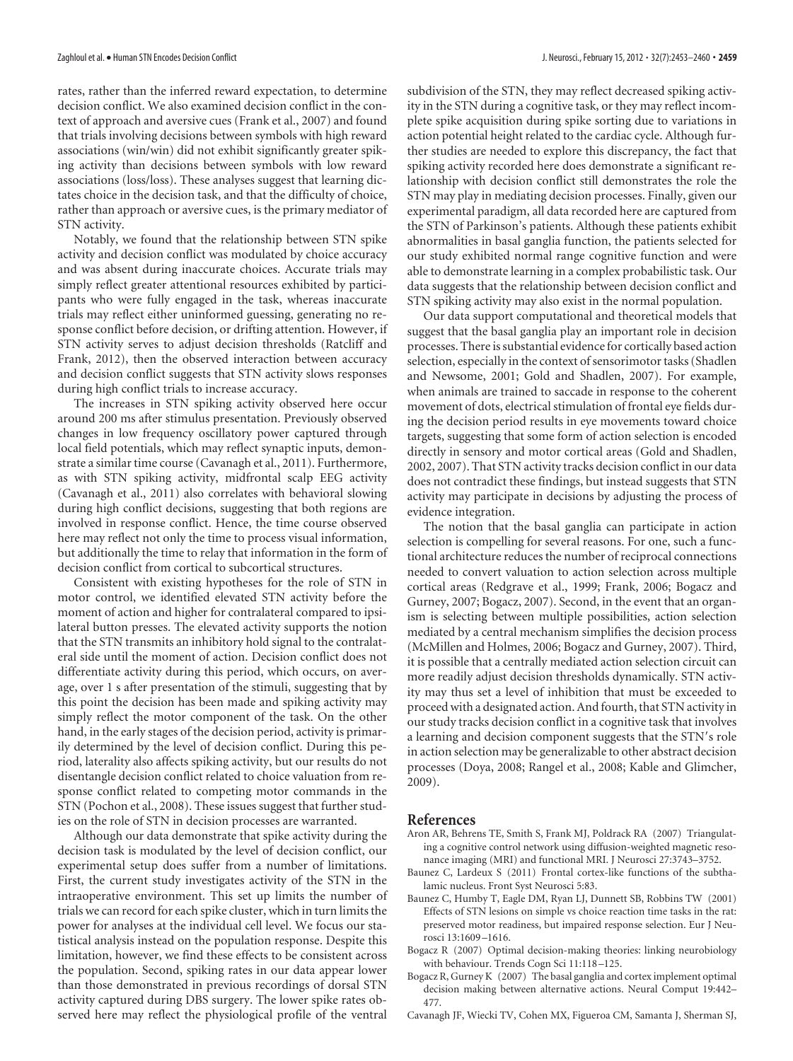associations (loss/loss). These analyses suggest that learning dictates choice in the decision task, and that the difficulty of choice, rather than approach or aversive cues, is the primary mediator of STN activity.

Notably, we found that the relationship between STN spike activity and decision conflict was modulated by choice accuracy and was absent during inaccurate choices. Accurate trials may simply reflect greater attentional resources exhibited by participants who were fully engaged in the task, whereas inaccurate trials may reflect either uninformed guessing, generating no response conflict before decision, or drifting attention. However, if STN activity serves to adjust decision thresholds (Ratcliff and Frank, 2012), then the observed interaction between accuracy and decision conflict suggests that STN activity slows responses during high conflict trials to increase accuracy.

The increases in STN spiking activity observed here occur around 200 ms after stimulus presentation. Previously observed changes in low frequency oscillatory power captured through local field potentials, which may reflect synaptic inputs, demonstrate a similar time course (Cavanagh et al., 2011). Furthermore, as with STN spiking activity, midfrontal scalp EEG activity (Cavanagh et al., 2011) also correlates with behavioral slowing during high conflict decisions, suggesting that both regions are involved in response conflict. Hence, the time course observed here may reflect not only the time to process visual information, but additionally the time to relay that information in the form of decision conflict from cortical to subcortical structures.

Consistent with existing hypotheses for the role of STN in motor control, we identified elevated STN activity before the moment of action and higher for contralateral compared to ipsilateral button presses. The elevated activity supports the notion that the STN transmits an inhibitory hold signal to the contralateral side until the moment of action. Decision conflict does not differentiate activity during this period, which occurs, on average, over 1 s after presentation of the stimuli, suggesting that by this point the decision has been made and spiking activity may simply reflect the motor component of the task. On the other hand, in the early stages of the decision period, activity is primarily determined by the level of decision conflict. During this period, laterality also affects spiking activity, but our results do not disentangle decision conflict related to choice valuation from response conflict related to competing motor commands in the STN (Pochon et al., 2008). These issues suggest that further studies on the role of STN in decision processes are warranted.

Although our data demonstrate that spike activity during the decision task is modulated by the level of decision conflict, our experimental setup does suffer from a number of limitations. First, the current study investigates activity of the STN in the intraoperative environment. This set up limits the number of trials we can record for each spike cluster, which in turn limits the power for analyses at the individual cell level. We focus our statistical analysis instead on the population response. Despite this limitation, however, we find these effects to be consistent across the population. Second, spiking rates in our data appear lower than those demonstrated in previous recordings of dorsal STN activity captured during DBS surgery. The lower spike rates observed here may reflect the physiological profile of the ventral

subdivision of the STN, they may reflect decreased spiking activity in the STN during a cognitive task, or they may reflect incomplete spike acquisition during spike sorting due to variations in action potential height related to the cardiac cycle. Although further studies are needed to explore this discrepancy, the fact that spiking activity recorded here does demonstrate a significant relationship with decision conflict still demonstrates the role the STN may play in mediating decision processes. Finally, given our experimental paradigm, all data recorded here are captured from the STN of Parkinson's patients. Although these patients exhibit abnormalities in basal ganglia function, the patients selected for our study exhibited normal range cognitive function and were able to demonstrate learning in a complex probabilistic task. Our data suggests that the relationship between decision conflict and STN spiking activity may also exist in the normal population.

Our data support computational and theoretical models that suggest that the basal ganglia play an important role in decision processes. There is substantial evidence for cortically based action selection, especially in the context of sensorimotor tasks (Shadlen and Newsome, 2001; Gold and Shadlen, 2007). For example, when animals are trained to saccade in response to the coherent movement of dots, electrical stimulation of frontal eye fields during the decision period results in eye movements toward choice targets, suggesting that some form of action selection is encoded directly in sensory and motor cortical areas (Gold and Shadlen, 2002, 2007). That STN activity tracks decision conflict in our data does not contradict these findings, but instead suggests that STN activity may participate in decisions by adjusting the process of evidence integration.

The notion that the basal ganglia can participate in action selection is compelling for several reasons. For one, such a functional architecture reduces the number of reciprocal connections needed to convert valuation to action selection across multiple cortical areas (Redgrave et al., 1999; Frank, 2006; Bogacz and Gurney, 2007; Bogacz, 2007). Second, in the event that an organism is selecting between multiple possibilities, action selection mediated by a central mechanism simplifies the decision process (McMillen and Holmes, 2006; Bogacz and Gurney, 2007). Third, it is possible that a centrally mediated action selection circuit can more readily adjust decision thresholds dynamically. STN activity may thus set a level of inhibition that must be exceeded to proceed with a designated action. And fourth, that STN activity in our study tracks decision conflict in a cognitive task that involves a learning and decision component suggests that the STN's role in action selection may be generalizable to other abstract decision processes (Doya, 2008; Rangel et al., 2008; Kable and Glimcher, 2009).

#### **References**

- Aron AR, Behrens TE, Smith S, Frank MJ, Poldrack RA (2007) Triangulating a cognitive control network using diffusion-weighted magnetic resonance imaging (MRI) and functional MRI. J Neurosci 27:3743–3752.
- Baunez C, Lardeux S (2011) Frontal cortex-like functions of the subthalamic nucleus. Front Syst Neurosci 5:83.
- Baunez C, Humby T, Eagle DM, Ryan LJ, Dunnett SB, Robbins TW (2001) Effects of STN lesions on simple vs choice reaction time tasks in the rat: preserved motor readiness, but impaired response selection. Eur J Neurosci 13:1609 –1616.
- Bogacz R (2007) Optimal decision-making theories: linking neurobiology with behaviour. Trends Cogn Sci 11:118 –125.
- Bogacz R, Gurney K (2007) The basal ganglia and cortex implement optimal decision making between alternative actions. Neural Comput 19:442– 477.
- Cavanagh JF, Wiecki TV, Cohen MX, Figueroa CM, Samanta J, Sherman SJ,